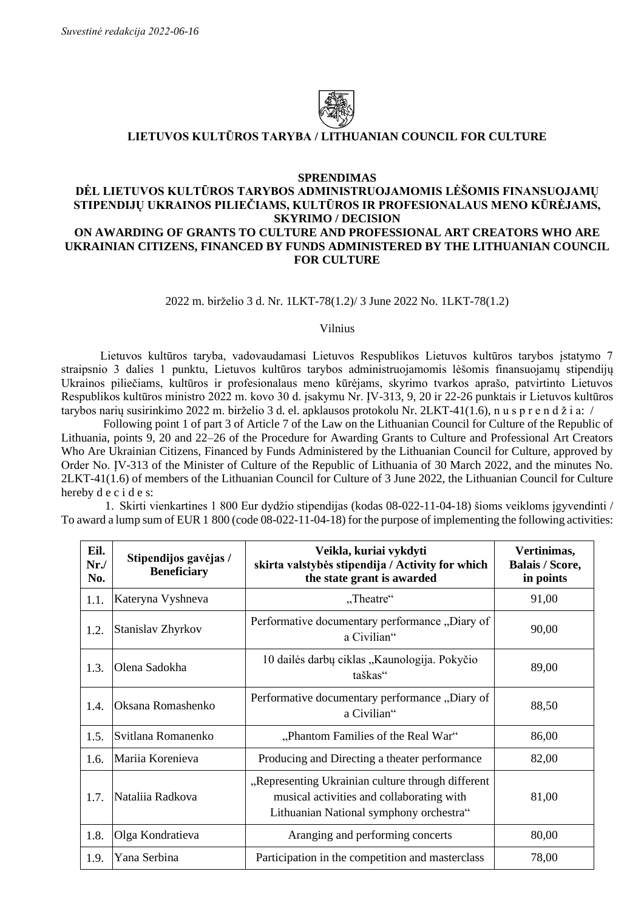

## **LIETUVOS KULTŪROS TARYBA / LITHUANIAN COUNCIL FOR CULTURE**

### **SPRENDIMAS**

# **DĖL LIETUVOS KULTŪROS TARYBOS ADMINISTRUOJAMOMIS LĖŠOMIS FINANSUOJAMŲ STIPENDIJŲ UKRAINOS PILIEČIAMS, KULTŪROS IR PROFESIONALAUS MENO KŪRĖJAMS, SKYRIMO / DECISION ON AWARDING OF GRANTS TO CULTURE AND PROFESSIONAL ART CREATORS WHO ARE UKRAINIAN CITIZENS, FINANCED BY FUNDS ADMINISTERED BY THE LITHUANIAN COUNCIL FOR CULTURE**

### 2022 m. birželio 3 d. Nr. 1LKT-78(1.2)/ 3 June 2022 No. 1LKT-78(1.2)

### Vilnius

Lietuvos kultūros taryba, vadovaudamasi Lietuvos Respublikos Lietuvos kultūros tarybos įstatymo 7 straipsnio 3 dalies 1 punktu, Lietuvos kultūros tarybos administruojamomis lėšomis finansuojamų stipendijų Ukrainos piliečiams, kultūros ir profesionalaus meno kūrėjams, skyrimo tvarkos aprašo, patvirtinto Lietuvos Respublikos kultūros ministro 2022 m. kovo 30 d. įsakymu Nr. ĮV-313, 9, 20 ir 22-26 punktais ir Lietuvos kultūros tarybos narių susirinkimo 2022 m. birželio 3 d. el. apklausos protokolu Nr. 2LKT-41(1.6), n u s p r e n d ž i a: /

Following point 1 of part 3 of Article 7 of the Law on the Lithuanian Council for Culture of the Republic of Lithuania, points 9, 20 and 22–26 of the Procedure for Awarding Grants to Culture and Professional Art Creators Who Are Ukrainian Citizens, Financed by Funds Administered by the Lithuanian Council for Culture, approved by Order No. ĮV-313 of the Minister of Culture of the Republic of Lithuania of 30 March 2022, and the minutes No. 2LKT-41(1.6) of members of the Lithuanian Council for Culture of 3 June 2022, the Lithuanian Council for Culture hereby d e c i d e s:

1. Skirti vienkartines 1 800 Eur dydžio stipendijas (kodas 08-022-11-04-18) šioms veikloms įgyvendinti / To award a lump sum of EUR 1 800 (code 08-022-11-04-18) for the purpose of implementing the following activities:

| Eil.<br>$Nr$ ./<br>No. | Stipendijos gavėjas /<br><b>Beneficiary</b> | Veikla, kuriai vykdyti<br>skirta valstybės stipendija / Activity for which<br>the state grant is awarded                                  | Vertinimas,<br><b>Balais / Score,</b><br>in points |
|------------------------|---------------------------------------------|-------------------------------------------------------------------------------------------------------------------------------------------|----------------------------------------------------|
| 1.1.                   | Kateryna Vyshneva                           | "Theatre"                                                                                                                                 | 91,00                                              |
| 1.2.                   | Stanislav Zhyrkov                           | Performative documentary performance, Diary of<br>a Civilian"                                                                             | 90,00                                              |
| 1.3.                   | Olena Sadokha                               | 10 dailės darbų ciklas "Kaunologija. Pokyčio<br>taškas"                                                                                   | 89,00                                              |
| 1.4.                   | Oksana Romashenko                           | Performative documentary performance "Diary of<br>a Civilian"                                                                             | 88,50                                              |
| 1.5.                   | Svitlana Romanenko                          | "Phantom Families of the Real War"                                                                                                        | 86,00                                              |
| 1.6.                   | Mariia Korenieva                            | Producing and Directing a theater performance                                                                                             | 82,00                                              |
| 1.7.                   | Nataliia Radkova                            | "Representing Ukrainian culture through different<br>musical activities and collaborating with<br>Lithuanian National symphony orchestra" | 81,00                                              |
| 1.8.                   | Olga Kondratieva                            | Aranging and performing concerts                                                                                                          | 80,00                                              |
| 1.9.                   | Yana Serbina                                | Participation in the competition and masterclass                                                                                          | 78,00                                              |